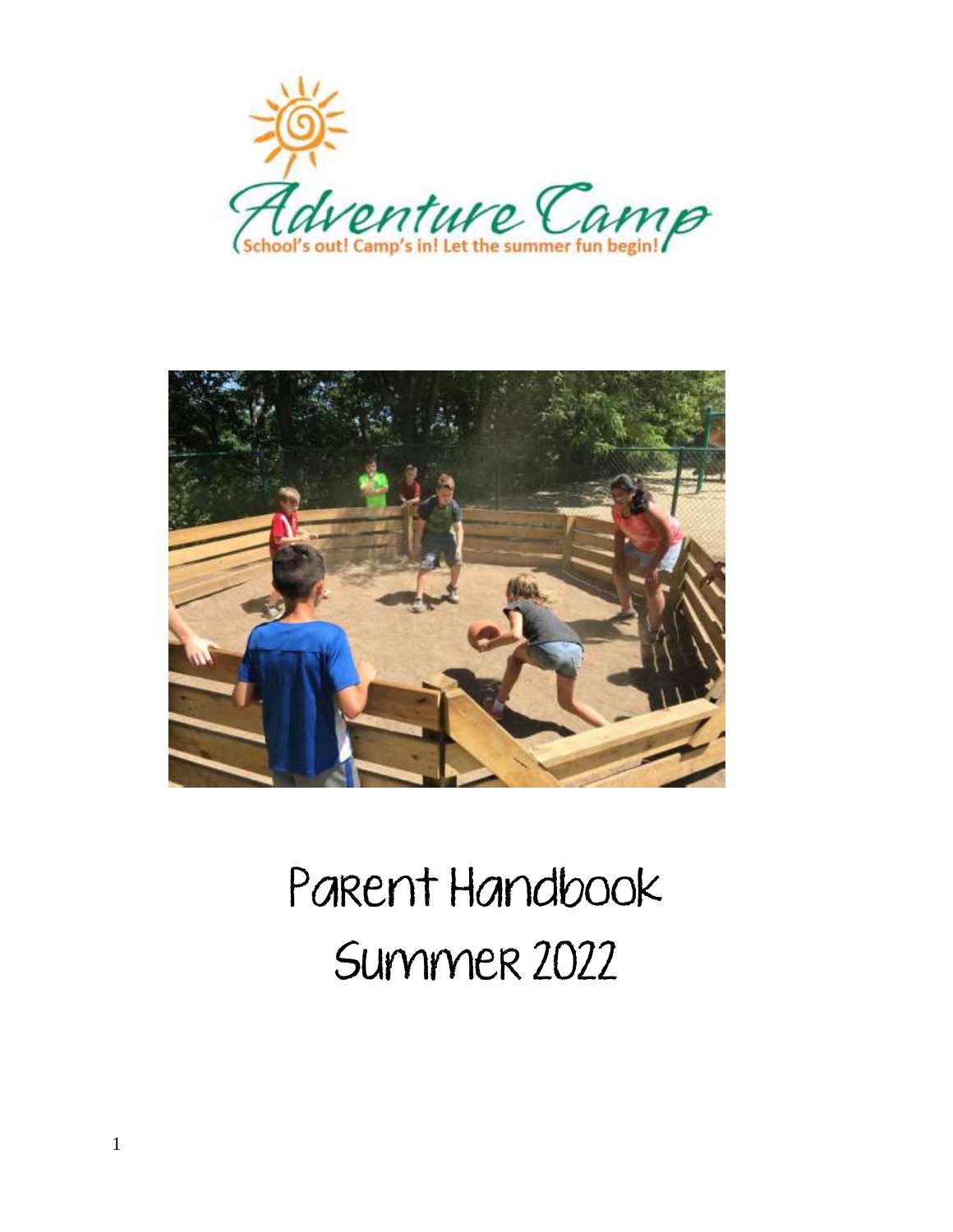



# Parent Handbook Summer 2022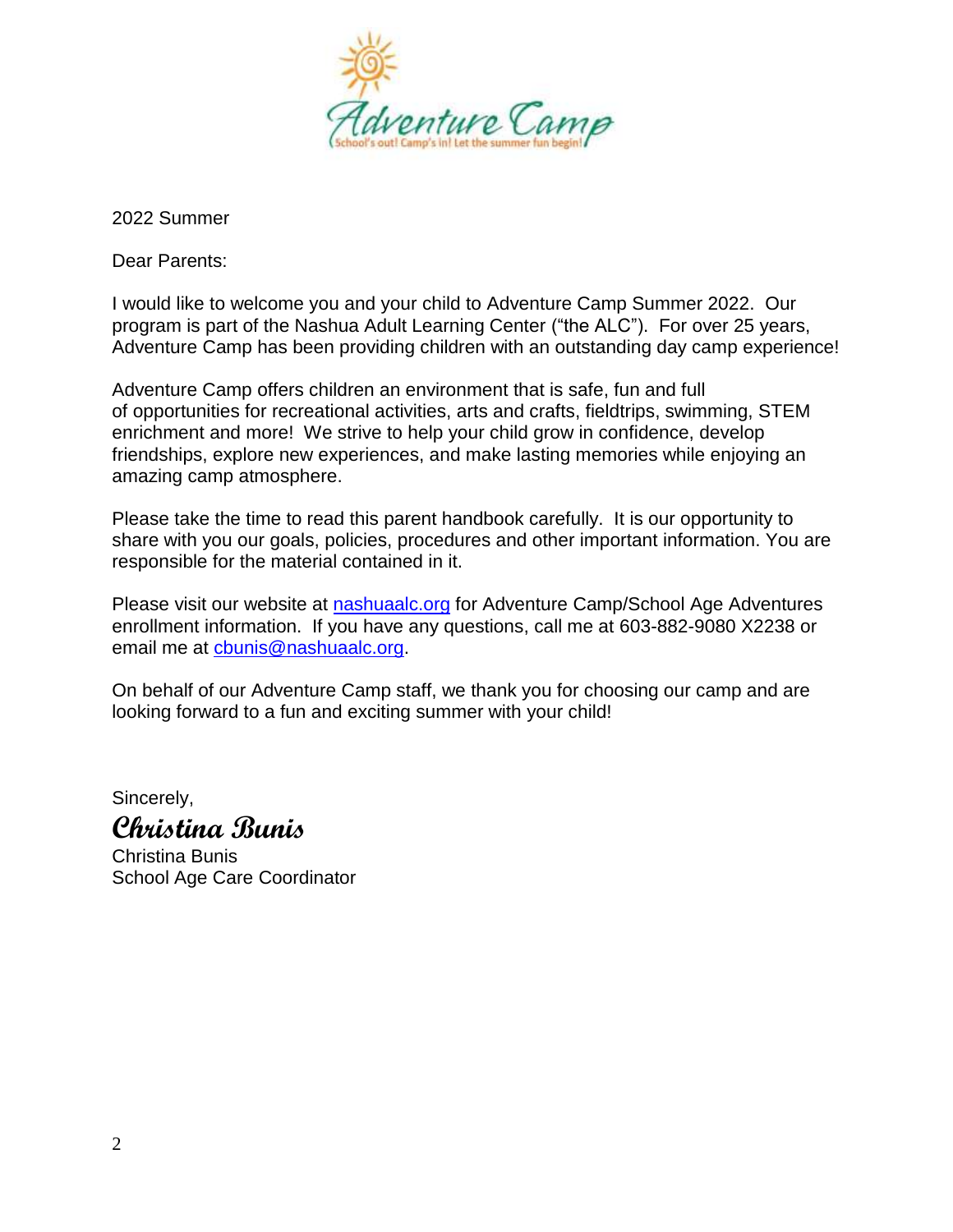

2022 Summer

Dear Parents:

I would like to welcome you and your child to Adventure Camp Summer 2022. Our program is part of the Nashua Adult Learning Center ("the ALC"). For over 25 years, Adventure Camp has been providing children with an outstanding day camp experience!

Adventure Camp offers children an environment that is safe, fun and full of opportunities for recreational activities, arts and crafts, fieldtrips, swimming, STEM enrichment and more! We strive to help your child grow in confidence, develop friendships, explore new experiences, and make lasting memories while enjoying an amazing camp atmosphere.

Please take the time to read this parent handbook carefully. It is our opportunity to share with you our goals, policies, procedures and other important information. You are responsible for the material contained in it.

Please visit our website at **nashuaalc.org** for Adventure Camp/School Age Adventures enrollment information. If you have any questions, call me at 603-882-9080 X2238 or email me at [cbunis@nashuaalc.org.](mailto:cbunis@nashuaalc.org)

On behalf of our Adventure Camp staff, we thank you for choosing our camp and are looking forward to a fun and exciting summer with your child!

Sincerely,

# **Christina Bunis**

Christina Bunis School Age Care Coordinator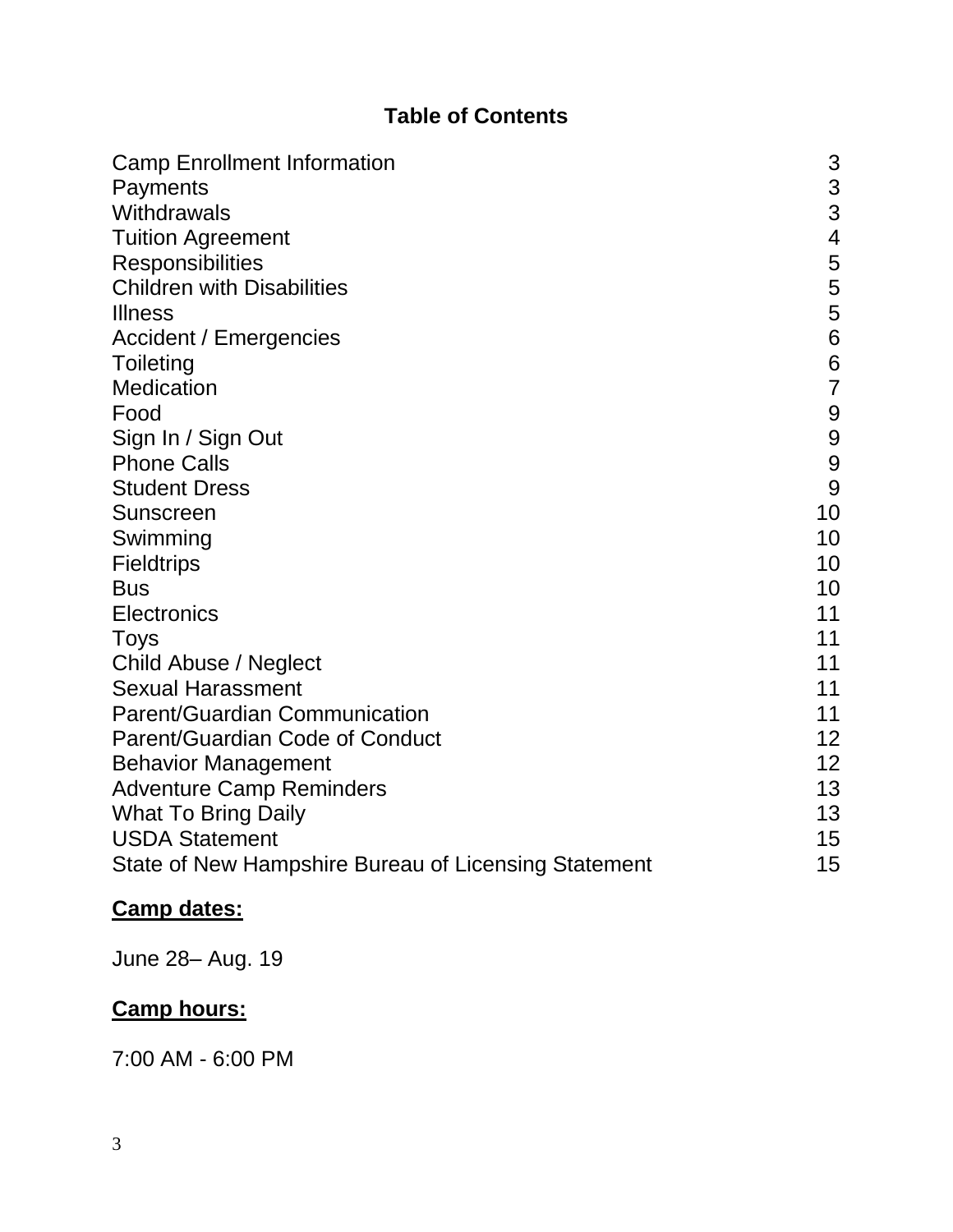# **Table of Contents**

| <b>Camp Enrollment Information</b>                   | 3              |
|------------------------------------------------------|----------------|
| Payments                                             | 3              |
| Withdrawals                                          | 3              |
| <b>Tuition Agreement</b>                             | $\overline{4}$ |
| <b>Responsibilities</b>                              | 5              |
| <b>Children with Disabilities</b>                    | 5              |
| <b>Illness</b>                                       | 5              |
| <b>Accident / Emergencies</b>                        | $\overline{6}$ |
| Toileting                                            | $\overline{6}$ |
| Medication                                           | $\overline{7}$ |
| Food                                                 | 9              |
| Sign In / Sign Out                                   | 9              |
| <b>Phone Calls</b>                                   | 9              |
| <b>Student Dress</b>                                 | 9              |
| Sunscreen                                            | 10             |
| Swimming                                             | 10             |
| <b>Fieldtrips</b>                                    | 10             |
| <b>Bus</b>                                           | 10             |
| <b>Electronics</b>                                   | 11             |
| <b>Toys</b>                                          | 11             |
| Child Abuse / Neglect                                | 11             |
| <b>Sexual Harassment</b>                             | 11             |
| <b>Parent/Guardian Communication</b>                 | 11             |
| Parent/Guardian Code of Conduct                      | 12             |
| <b>Behavior Management</b>                           | 12             |
| <b>Adventure Camp Reminders</b>                      | 13             |
| <b>What To Bring Daily</b>                           | 13             |
| <b>USDA Statement</b>                                | 15             |
| State of New Hampshire Bureau of Licensing Statement | 15             |

# **Camp dates:**

June 28– Aug. 19

# **Camp hours:**

7:00 AM - 6:00 PM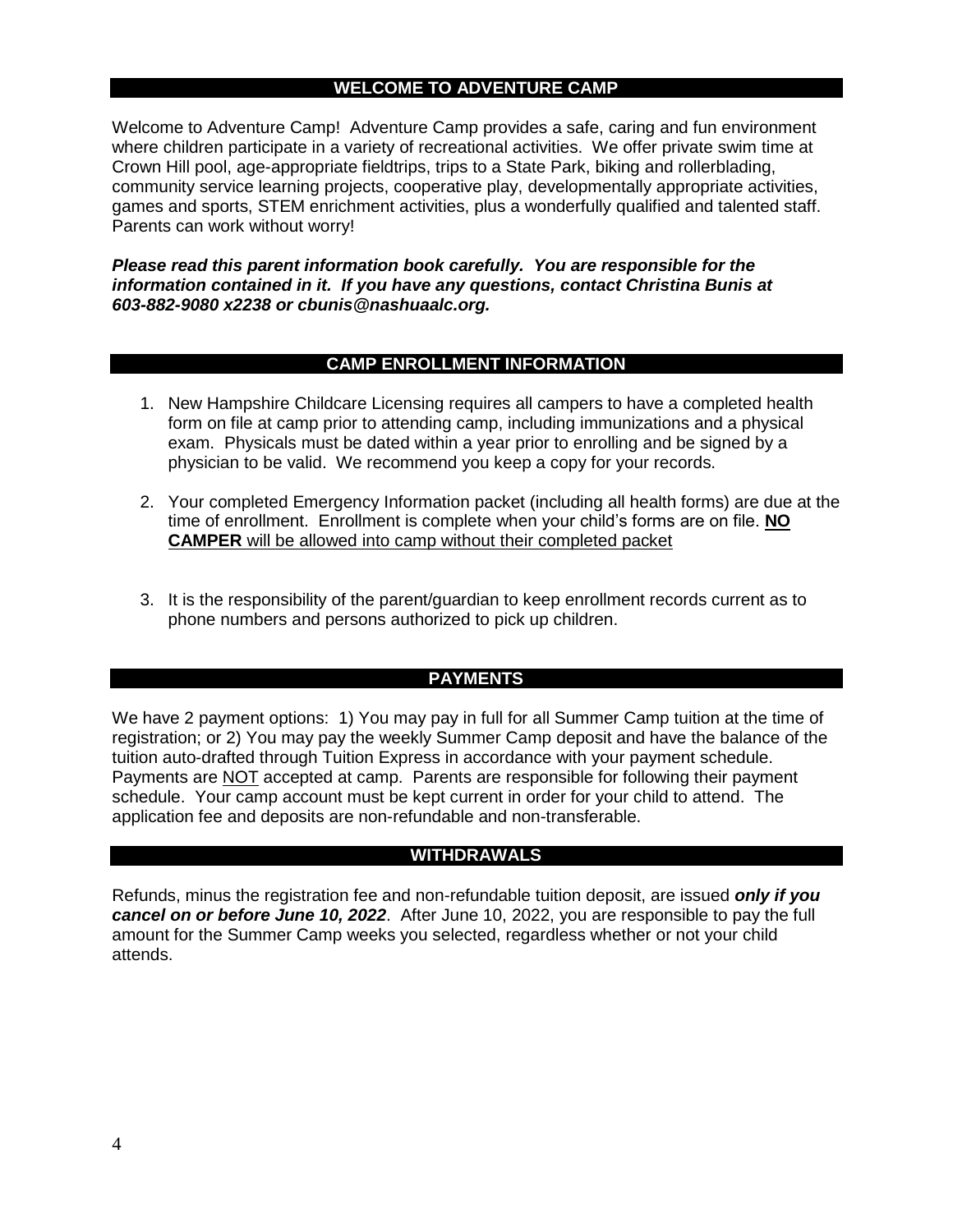# **WELCOME TO ADVENTURE CAMP**

Welcome to Adventure Camp! Adventure Camp provides a safe, caring and fun environment where children participate in a variety of recreational activities. We offer private swim time at Crown Hill pool, age-appropriate fieldtrips, trips to a State Park, biking and rollerblading, community service learning projects, cooperative play, developmentally appropriate activities, games and sports, STEM enrichment activities, plus a wonderfully qualified and talented staff. Parents can work without worry!

*Please read this parent information book carefully. You are responsible for the information contained in it. If you have any questions, contact Christina Bunis at 603-882-9080 x2238 or cbunis@nashuaalc.org.*

#### **CAMP ENROLLMENT INFORMATION**

- 1. New Hampshire Childcare Licensing requires all campers to have a completed health form on file at camp prior to attending camp, including immunizations and a physical exam. Physicals must be dated within a year prior to enrolling and be signed by a physician to be valid. We recommend you keep a copy for your records.
- 2. Your completed Emergency Information packet (including all health forms) are due at the time of enrollment. Enrollment is complete when your child's forms are on file. **NO CAMPER** will be allowed into camp without their completed packet
- 3. It is the responsibility of the parent/guardian to keep enrollment records current as to phone numbers and persons authorized to pick up children.

# **PAYMENTS**

We have 2 payment options: 1) You may pay in full for all Summer Camp tuition at the time of registration; or 2) You may pay the weekly Summer Camp deposit and have the balance of the tuition auto-drafted through Tuition Express in accordance with your payment schedule. Payments are NOT accepted at camp. Parents are responsible for following their payment schedule. Your camp account must be kept current in order for your child to attend. The application fee and deposits are non-refundable and non-transferable.

# **WITHDRAWALS**

Refunds, minus the registration fee and non-refundable tuition deposit, are issued *only if you cancel on or before June 10, 2022*. After June 10, 2022, you are responsible to pay the full amount for the Summer Camp weeks you selected, regardless whether or not your child attends.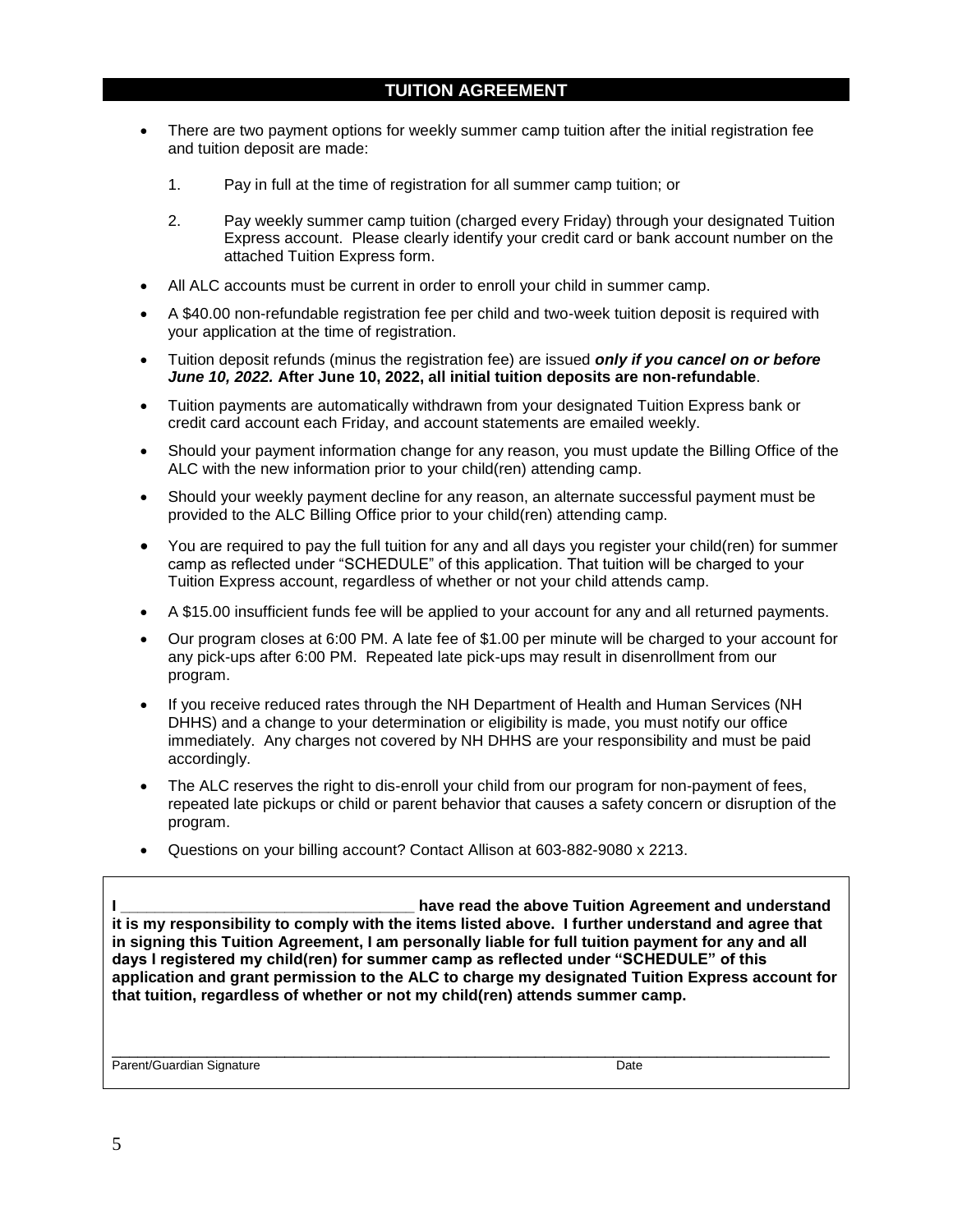- There are two payment options for weekly summer camp tuition after the initial registration fee and tuition deposit are made:
	- 1. Pay in full at the time of registration for all summer camp tuition; or
	- 2. Pay weekly summer camp tuition (charged every Friday) through your designated Tuition Express account. Please clearly identify your credit card or bank account number on the attached Tuition Express form.
- All ALC accounts must be current in order to enroll your child in summer camp.
- A \$40.00 non-refundable registration fee per child and two-week tuition deposit is required with your application at the time of registration.
- Tuition deposit refunds (minus the registration fee) are issued *only if you cancel on or before June 10, 2022.* **After June 10, 2022, all initial tuition deposits are non-refundable**.
- Tuition payments are automatically withdrawn from your designated Tuition Express bank or credit card account each Friday, and account statements are emailed weekly.
- Should your payment information change for any reason, you must update the Billing Office of the ALC with the new information prior to your child(ren) attending camp.
- Should your weekly payment decline for any reason, an alternate successful payment must be provided to the ALC Billing Office prior to your child(ren) attending camp.
- You are required to pay the full tuition for any and all days you register your child(ren) for summer camp as reflected under "SCHEDULE" of this application. That tuition will be charged to your Tuition Express account, regardless of whether or not your child attends camp.
- A \$15.00 insufficient funds fee will be applied to your account for any and all returned payments.
- Our program closes at 6:00 PM. A late fee of \$1.00 per minute will be charged to your account for any pick-ups after 6:00 PM. Repeated late pick-ups may result in disenrollment from our program.
- If you receive reduced rates through the NH Department of Health and Human Services (NH DHHS) and a change to your determination or eligibility is made, you must notify our office immediately. Any charges not covered by NH DHHS are your responsibility and must be paid accordingly.
- The ALC reserves the right to dis-enroll your child from our program for non-payment of fees, repeated late pickups or child or parent behavior that causes a safety concern or disruption of the program.
- Questions on your billing account? Contact Allison at 603-882-9080 x 2213.

**I \_\_\_\_\_\_\_\_\_\_\_\_\_\_\_\_\_\_\_\_\_\_\_\_\_\_\_\_\_\_\_\_\_\_ have read the above Tuition Agreement and understand it is my responsibility to comply with the items listed above. I further understand and agree that in signing this Tuition Agreement, I am personally liable for full tuition payment for any and all days I registered my child(ren) for summer camp as reflected under "SCHEDULE" of this application and grant permission to the ALC to charge my designated Tuition Express account for that tuition, regardless of whether or not my child(ren) attends summer camp.**

\_\_\_\_\_\_\_\_\_\_\_\_\_\_\_\_\_\_\_\_\_\_\_\_\_\_\_\_\_\_\_\_\_\_\_\_\_\_\_\_\_\_\_\_\_\_\_\_\_\_\_\_\_\_\_\_\_\_\_\_\_\_\_\_\_\_\_\_\_\_\_\_\_\_\_\_\_\_\_\_\_\_\_

Parent/Guardian Signature Date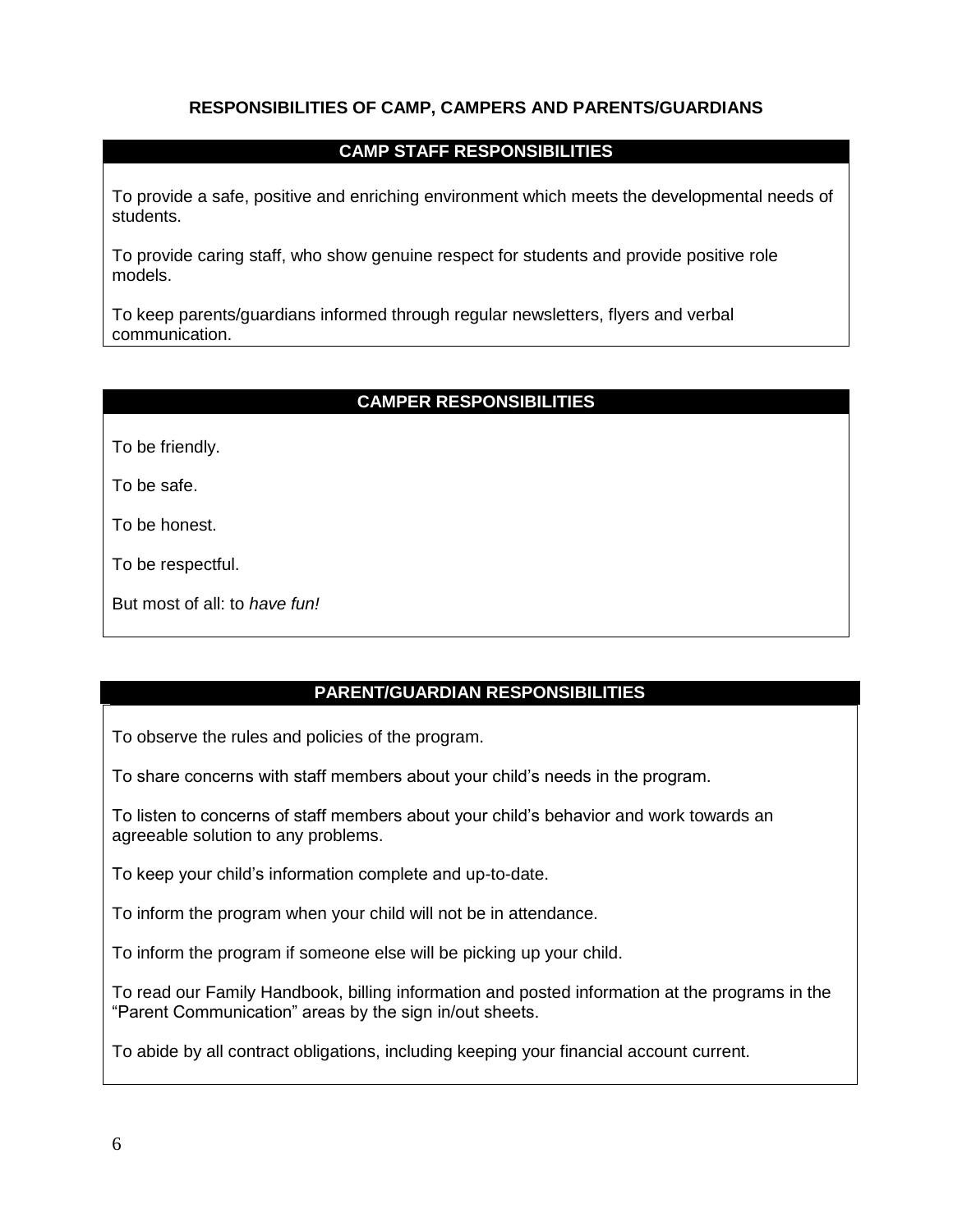# **RESPONSIBILITIES OF CAMP, CAMPERS AND PARENTS/GUARDIANS**

# **CAMP STAFF RESPONSIBILITIES**

To provide a safe, positive and enriching environment which meets the developmental needs of students.

To provide caring staff, who show genuine respect for students and provide positive role models.

To keep parents/guardians informed through regular newsletters, flyers and verbal communication.

# **CAMPER RESPONSIBILITIES**

To be friendly.

To be safe.

To be honest.

To be respectful.

| But most of all: to have fun! |  |  |  |  |  |  |  |
|-------------------------------|--|--|--|--|--|--|--|
|-------------------------------|--|--|--|--|--|--|--|

# **PARENT/GUARDIAN RESPONSIBILITIES**

To observe the rules and policies of the program.

To share concerns with staff members about your child's needs in the program.

To listen to concerns of staff members about your child's behavior and work towards an agreeable solution to any problems.

To keep your child's information complete and up-to-date.

To inform the program when your child will not be in attendance.

To inform the program if someone else will be picking up your child.

To read our Family Handbook, billing information and posted information at the programs in the "Parent Communication" areas by the sign in/out sheets.

To abide by all contract obligations, including keeping your financial account current.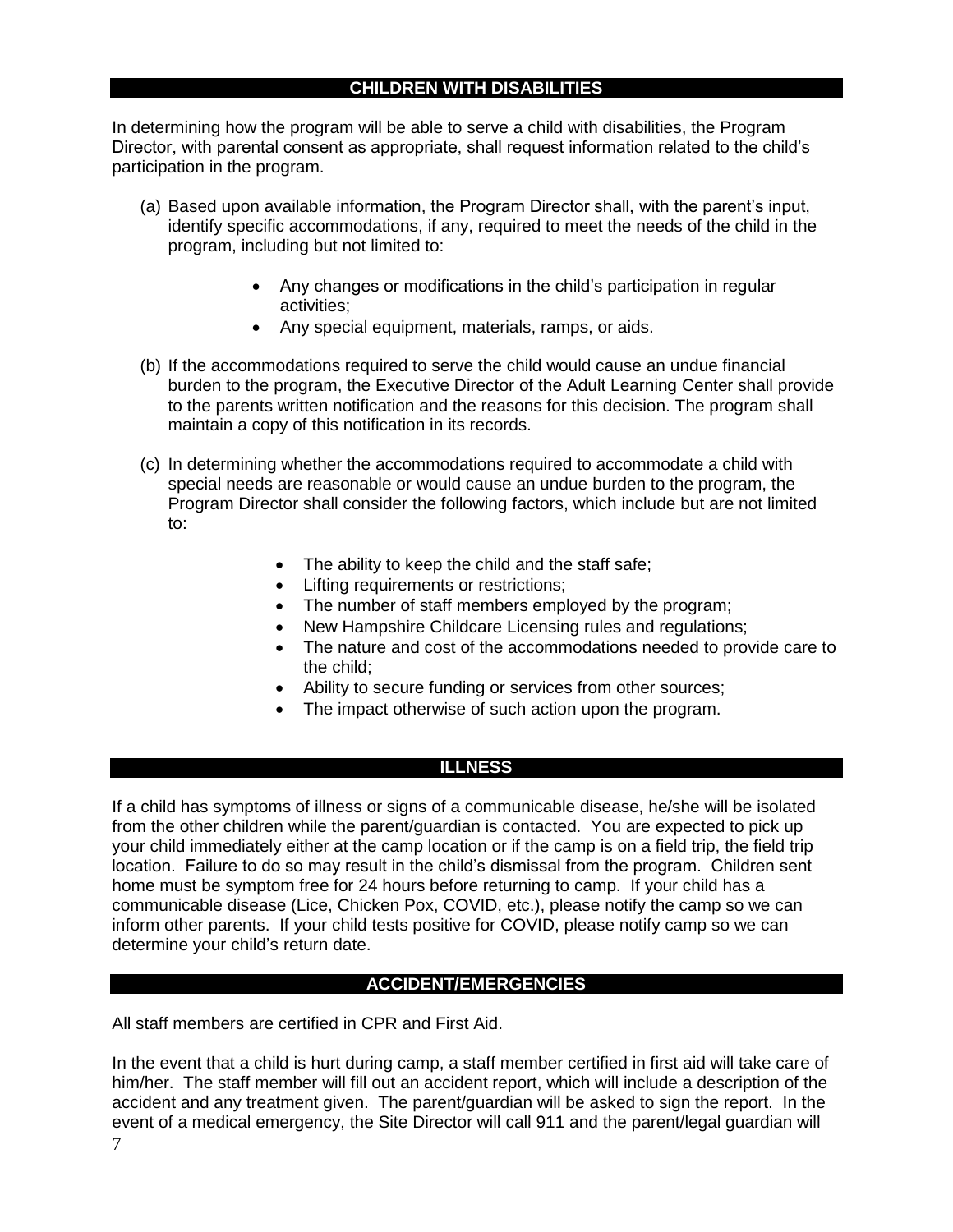# **CHILDREN WITH DISABILITIES**

In determining how the program will be able to serve a child with disabilities, the Program Director, with parental consent as appropriate, shall request information related to the child's participation in the program.

- (a) Based upon available information, the Program Director shall, with the parent's input, identify specific accommodations, if any, required to meet the needs of the child in the program, including but not limited to:
	- Any changes or modifications in the child's participation in regular activities;
	- Any special equipment, materials, ramps, or aids.
- (b) If the accommodations required to serve the child would cause an undue financial burden to the program, the Executive Director of the Adult Learning Center shall provide to the parents written notification and the reasons for this decision. The program shall maintain a copy of this notification in its records.
- (c) In determining whether the accommodations required to accommodate a child with special needs are reasonable or would cause an undue burden to the program, the Program Director shall consider the following factors, which include but are not limited to:
	- The ability to keep the child and the staff safe;
	- **•** Lifting requirements or restrictions;
	- The number of staff members employed by the program;
	- New Hampshire Childcare Licensing rules and regulations;
	- The nature and cost of the accommodations needed to provide care to the child;
	- Ability to secure funding or services from other sources;
	- The impact otherwise of such action upon the program.

#### **ILLNESS**

If a child has symptoms of illness or signs of a communicable disease, he/she will be isolated from the other children while the parent/guardian is contacted. You are expected to pick up your child immediately either at the camp location or if the camp is on a field trip, the field trip location. Failure to do so may result in the child's dismissal from the program. Children sent home must be symptom free for 24 hours before returning to camp. If your child has a communicable disease (Lice, Chicken Pox, COVID, etc.), please notify the camp so we can inform other parents. If your child tests positive for COVID, please notify camp so we can determine your child's return date.

#### **ACCIDENT/EMERGENCIES**

All staff members are certified in CPR and First Aid.

In the event that a child is hurt during camp, a staff member certified in first aid will take care of him/her. The staff member will fill out an accident report, which will include a description of the accident and any treatment given. The parent/guardian will be asked to sign the report. In the event of a medical emergency, the Site Director will call 911 and the parent/legal guardian will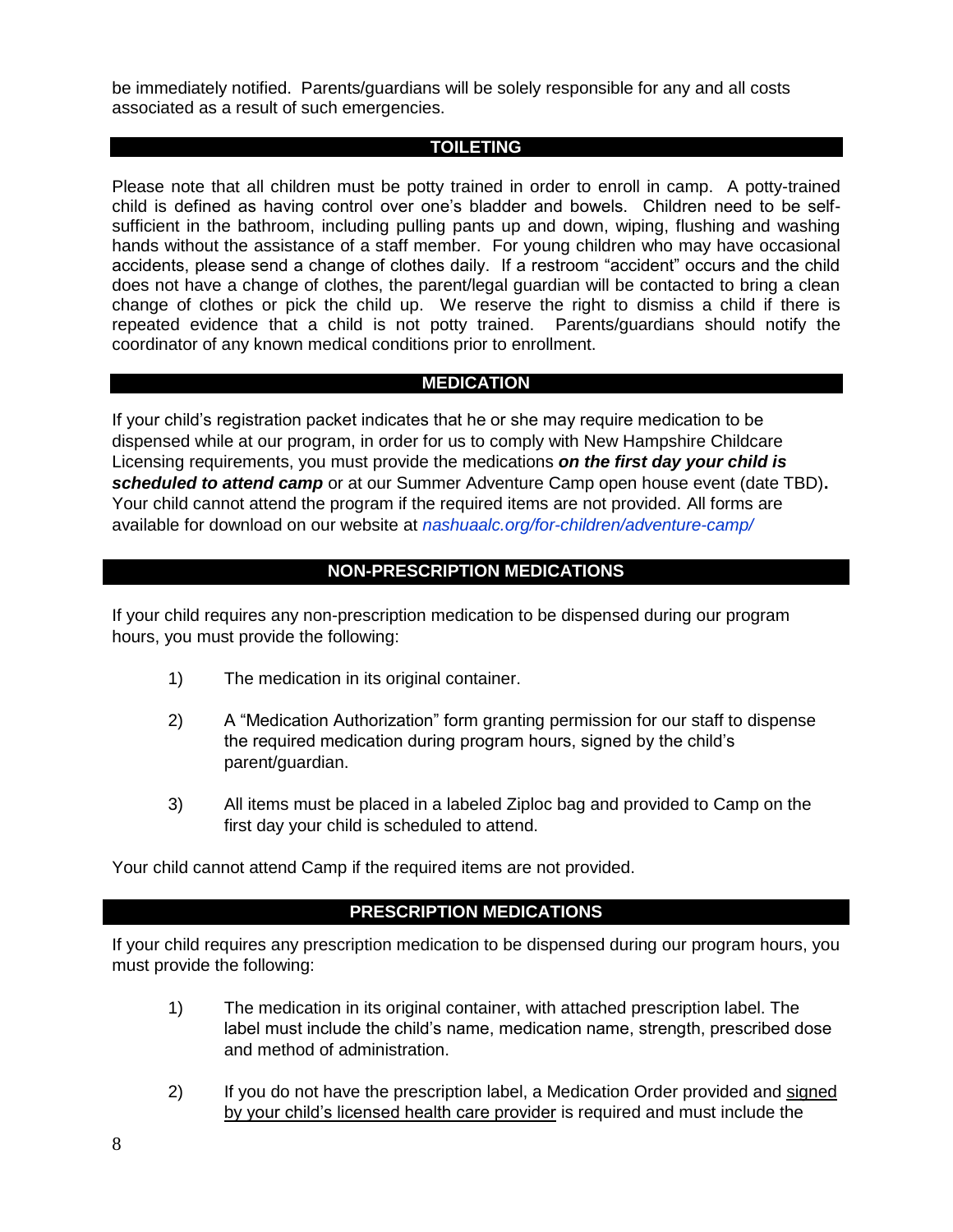be immediately notified. Parents/guardians will be solely responsible for any and all costs associated as a result of such emergencies.

#### **TOILETING**

Please note that all children must be potty trained in order to enroll in camp. A potty-trained child is defined as having control over one's bladder and bowels. Children need to be selfsufficient in the bathroom, including pulling pants up and down, wiping, flushing and washing hands without the assistance of a staff member. For young children who may have occasional accidents, please send a change of clothes daily. If a restroom "accident" occurs and the child does not have a change of clothes, the parent/legal guardian will be contacted to bring a clean change of clothes or pick the child up. We reserve the right to dismiss a child if there is repeated evidence that a child is not potty trained. Parents/guardians should notify the coordinator of any known medical conditions prior to enrollment.

# **MEDICATION**

If your child's registration packet indicates that he or she may require medication to be dispensed while at our program, in order for us to comply with New Hampshire Childcare Licensing requirements, you must provide the medications *on the first day your child is scheduled to attend camp* or at our Summer Adventure Camp open house event (date TBD)**.**  Your child cannot attend the program if the required items are not provided. All forms are available for download on our website at *nashuaalc.org/for-children/adventure-camp/*

# **NON-PRESCRIPTION MEDICATIONS**

If your child requires any non-prescription medication to be dispensed during our program hours, you must provide the following:

- 1) The medication in its original container.
- 2) A "Medication Authorization" form granting permission for our staff to dispense the required medication during program hours, signed by the child's parent/guardian.
- 3) All items must be placed in a labeled Ziploc bag and provided to Camp on the first day your child is scheduled to attend.

Your child cannot attend Camp if the required items are not provided.

# **PRESCRIPTION MEDICATIONS**

If your child requires any prescription medication to be dispensed during our program hours, you must provide the following:

- 1) The medication in its original container, with attached prescription label. The label must include the child's name, medication name, strength, prescribed dose and method of administration.
- 2) If you do not have the prescription label, a Medication Order provided and signed by your child's licensed health care provider is required and must include the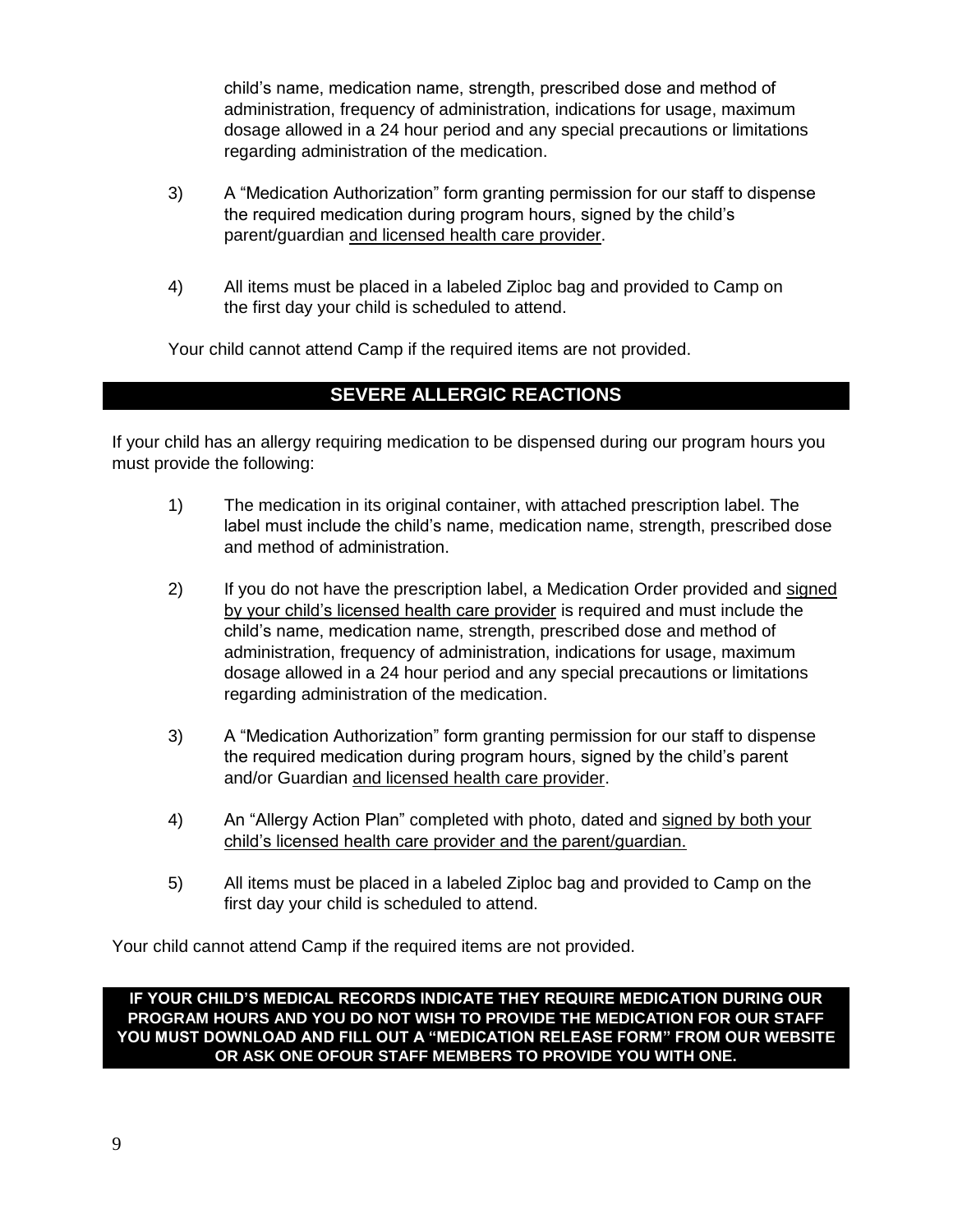child's name, medication name, strength, prescribed dose and method of administration, frequency of administration, indications for usage, maximum dosage allowed in a 24 hour period and any special precautions or limitations regarding administration of the medication.

- 3) A "Medication Authorization" form granting permission for our staff to dispense the required medication during program hours, signed by the child's parent/guardian and licensed health care provider.
- 4) All items must be placed in a labeled Ziploc bag and provided to Camp on the first day your child is scheduled to attend.

Your child cannot attend Camp if the required items are not provided.

# **SEVERE ALLERGIC REACTIONS**

If your child has an allergy requiring medication to be dispensed during our program hours you must provide the following:

- 1) The medication in its original container, with attached prescription label. The label must include the child's name, medication name, strength, prescribed dose and method of administration.
- 2) If you do not have the prescription label, a Medication Order provided and signed by your child's licensed health care provider is required and must include the child's name, medication name, strength, prescribed dose and method of administration, frequency of administration, indications for usage, maximum dosage allowed in a 24 hour period and any special precautions or limitations regarding administration of the medication.
- 3) A "Medication Authorization" form granting permission for our staff to dispense the required medication during program hours, signed by the child's parent and/or Guardian and licensed health care provider.
- 4) An "Allergy Action Plan" completed with photo, dated and signed by both your child's licensed health care provider and the parent/guardian.
- 5) All items must be placed in a labeled Ziploc bag and provided to Camp on the first day your child is scheduled to attend.

Your child cannot attend Camp if the required items are not provided.

**IF YOUR CHILD'S MEDICAL RECORDS INDICATE THEY REQUIRE MEDICATION DURING OUR PROGRAM HOURS AND YOU DO NOT WISH TO PROVIDE THE MEDICATION FOR OUR STAFF YOU MUST DOWNLOAD AND FILL OUT A "MEDICATION RELEASE FORM" FROM OUR WEBSITE OR ASK ONE OFOUR STAFF MEMBERS TO PROVIDE YOU WITH ONE.**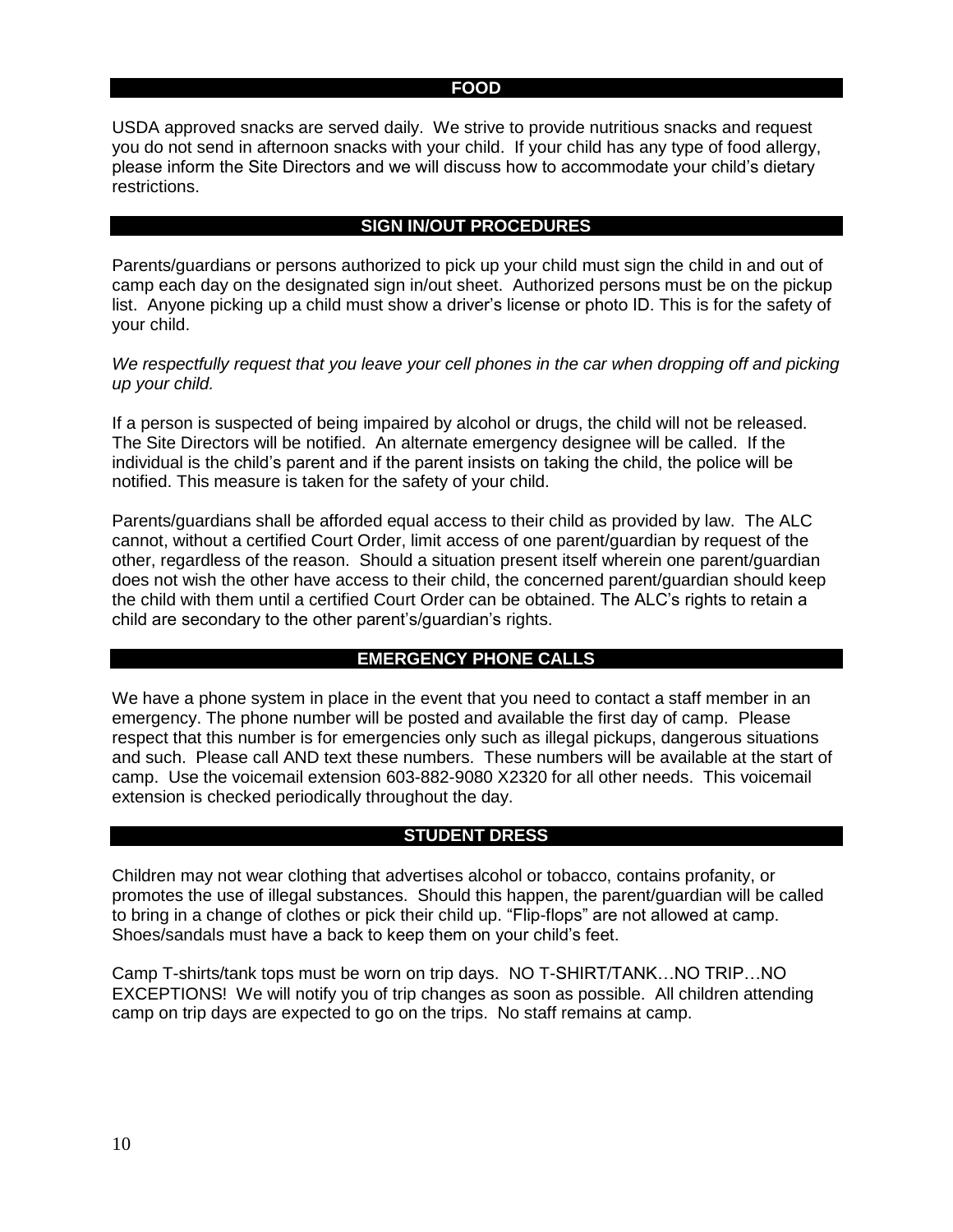#### **FOOD**

USDA approved snacks are served daily. We strive to provide nutritious snacks and request you do not send in afternoon snacks with your child. If your child has any type of food allergy, please inform the Site Directors and we will discuss how to accommodate your child's dietary restrictions.

#### **SIGN IN/OUT PROCEDURES**

Parents/guardians or persons authorized to pick up your child must sign the child in and out of camp each day on the designated sign in/out sheet. Authorized persons must be on the pickup list. Anyone picking up a child must show a driver's license or photo ID. This is for the safety of your child.

We respectfully request that you leave your cell phones in the car when dropping off and picking *up your child.* 

If a person is suspected of being impaired by alcohol or drugs, the child will not be released. The Site Directors will be notified. An alternate emergency designee will be called. If the individual is the child's parent and if the parent insists on taking the child, the police will be notified. This measure is taken for the safety of your child.

Parents/guardians shall be afforded equal access to their child as provided by law. The ALC cannot, without a certified Court Order, limit access of one parent/guardian by request of the other, regardless of the reason. Should a situation present itself wherein one parent/guardian does not wish the other have access to their child, the concerned parent/guardian should keep the child with them until a certified Court Order can be obtained. The ALC's rights to retain a child are secondary to the other parent's/guardian's rights.

# **EMERGENCY PHONE CALLS**

We have a phone system in place in the event that you need to contact a staff member in an emergency. The phone number will be posted and available the first day of camp. Please respect that this number is for emergencies only such as illegal pickups, dangerous situations and such. Please call AND text these numbers. These numbers will be available at the start of camp. Use the voicemail extension 603-882-9080 X2320 for all other needs. This voicemail extension is checked periodically throughout the day.

#### **STUDENT DRESS**

Children may not wear clothing that advertises alcohol or tobacco, contains profanity, or promotes the use of illegal substances. Should this happen, the parent/guardian will be called to bring in a change of clothes or pick their child up. "Flip-flops" are not allowed at camp. Shoes/sandals must have a back to keep them on your child's feet.

Camp T-shirts/tank tops must be worn on trip days. NO T-SHIRT/TANK…NO TRIP…NO EXCEPTIONS! We will notify you of trip changes as soon as possible. All children attending camp on trip days are expected to go on the trips. No staff remains at camp.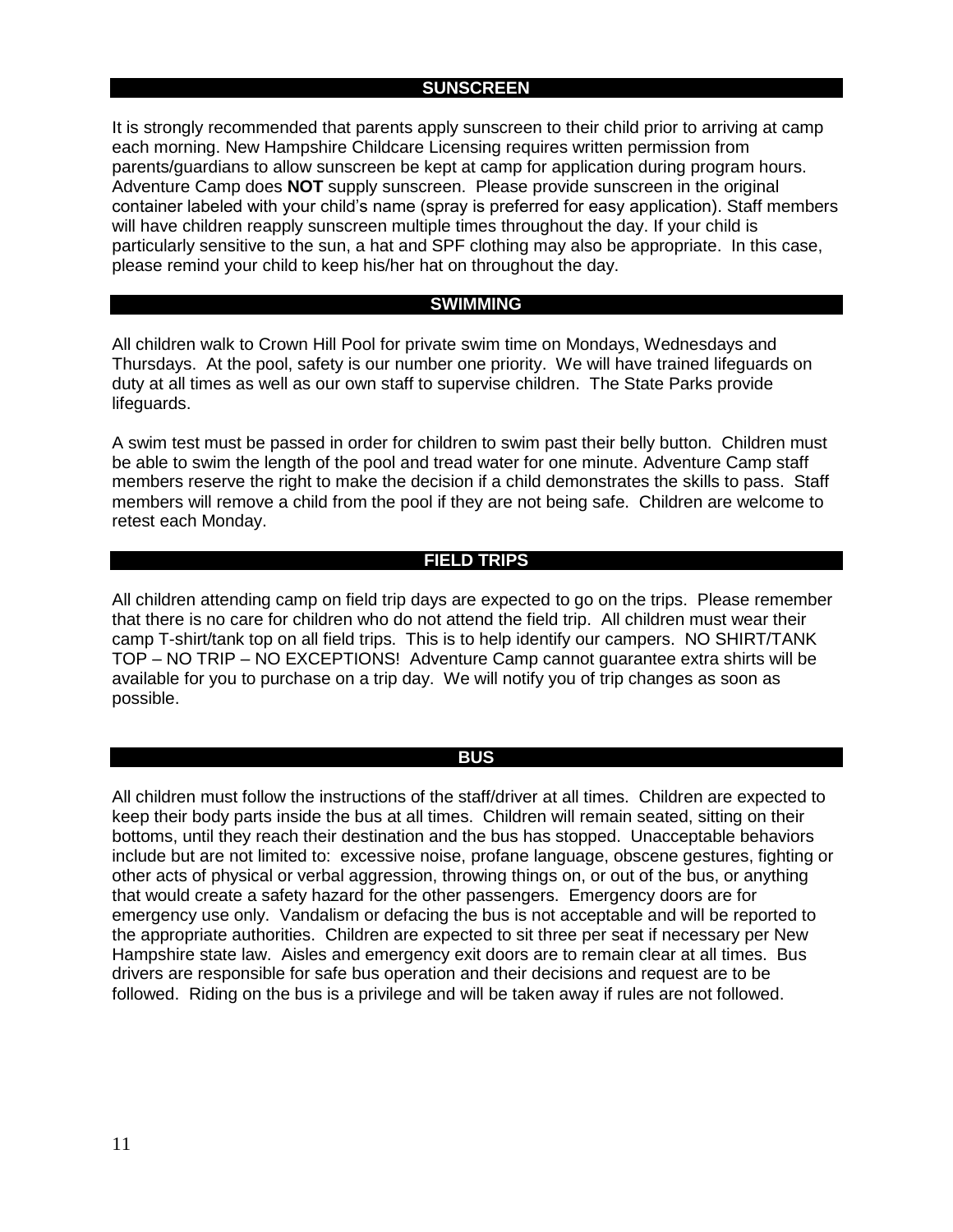#### **SUNSCREEN**

It is strongly recommended that parents apply sunscreen to their child prior to arriving at camp each morning. New Hampshire Childcare Licensing requires written permission from parents/guardians to allow sunscreen be kept at camp for application during program hours. Adventure Camp does **NOT** supply sunscreen. Please provide sunscreen in the original container labeled with your child's name (spray is preferred for easy application). Staff members will have children reapply sunscreen multiple times throughout the day. If your child is particularly sensitive to the sun, a hat and SPF clothing may also be appropriate. In this case, please remind your child to keep his/her hat on throughout the day.

#### **SWIMMING**

All children walk to Crown Hill Pool for private swim time on Mondays, Wednesdays and Thursdays. At the pool, safety is our number one priority. We will have trained lifeguards on duty at all times as well as our own staff to supervise children. The State Parks provide lifeguards.

A swim test must be passed in order for children to swim past their belly button. Children must be able to swim the length of the pool and tread water for one minute. Adventure Camp staff members reserve the right to make the decision if a child demonstrates the skills to pass. Staff members will remove a child from the pool if they are not being safe. Children are welcome to retest each Monday.

#### **FIELD TRIPS**

All children attending camp on field trip days are expected to go on the trips. Please remember that there is no care for children who do not attend the field trip. All children must wear their camp T-shirt/tank top on all field trips. This is to help identify our campers. NO SHIRT/TANK TOP – NO TRIP – NO EXCEPTIONS! Adventure Camp cannot guarantee extra shirts will be available for you to purchase on a trip day. We will notify you of trip changes as soon as possible.

#### **BUS**

All children must follow the instructions of the staff/driver at all times. Children are expected to keep their body parts inside the bus at all times. Children will remain seated, sitting on their bottoms, until they reach their destination and the bus has stopped. Unacceptable behaviors include but are not limited to: excessive noise, profane language, obscene gestures, fighting or other acts of physical or verbal aggression, throwing things on, or out of the bus, or anything that would create a safety hazard for the other passengers. Emergency doors are for emergency use only. Vandalism or defacing the bus is not acceptable and will be reported to the appropriate authorities. Children are expected to sit three per seat if necessary per New Hampshire state law. Aisles and emergency exit doors are to remain clear at all times. Bus drivers are responsible for safe bus operation and their decisions and request are to be followed. Riding on the bus is a privilege and will be taken away if rules are not followed.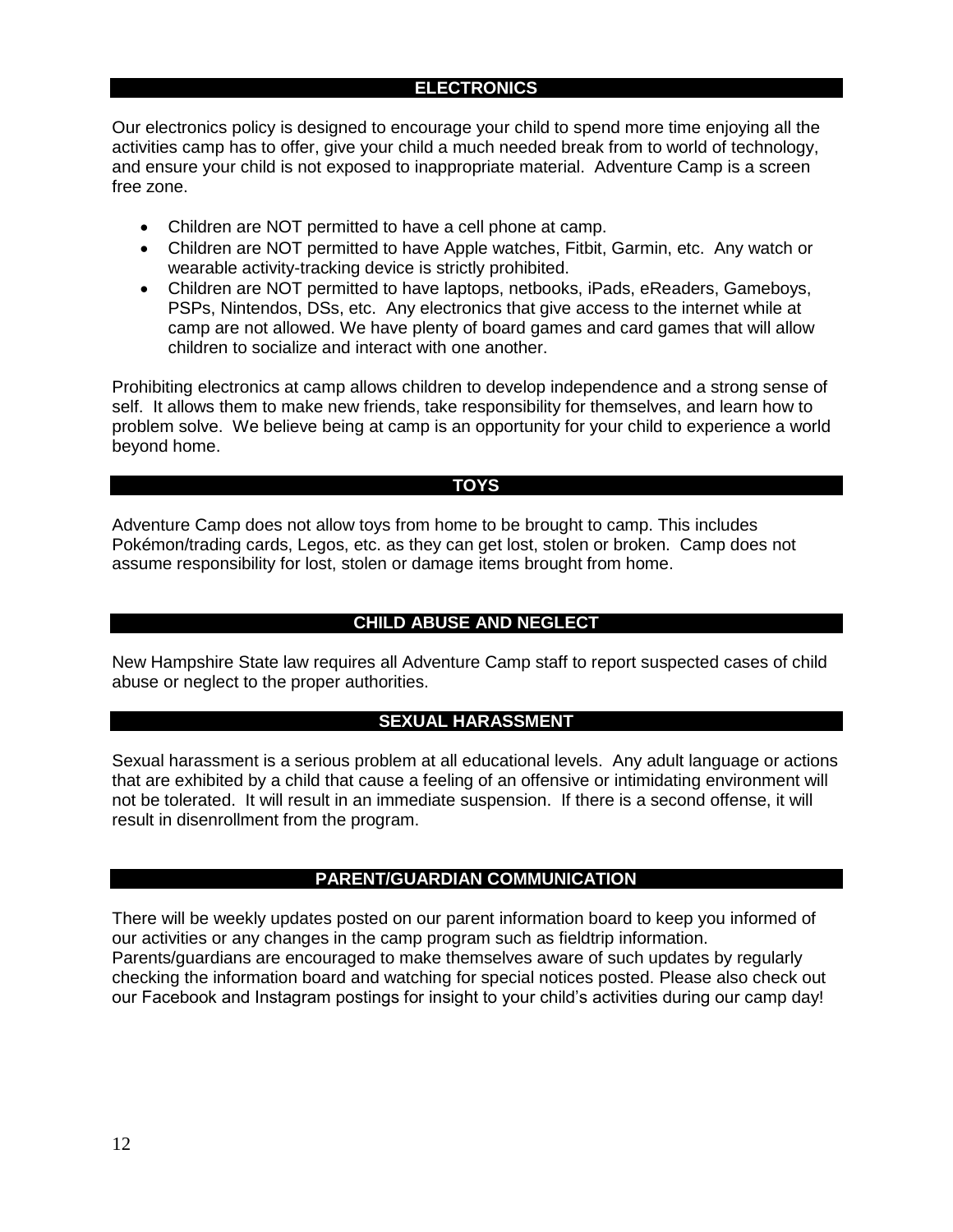#### **ELECTRONICS**

Our electronics policy is designed to encourage your child to spend more time enjoying all the activities camp has to offer, give your child a much needed break from to world of technology, and ensure your child is not exposed to inappropriate material. Adventure Camp is a screen free zone.

- Children are NOT permitted to have a cell phone at camp.
- Children are NOT permitted to have Apple watches, Fitbit, Garmin, etc. Any watch or wearable activity-tracking device is strictly prohibited.
- Children are NOT permitted to have laptops, netbooks, iPads, eReaders, Gameboys, PSPs, Nintendos, DSs, etc. Any electronics that give access to the internet while at camp are not allowed. We have plenty of board games and card games that will allow children to socialize and interact with one another.

Prohibiting electronics at camp allows children to develop independence and a strong sense of self. It allows them to make new friends, take responsibility for themselves, and learn how to problem solve. We believe being at camp is an opportunity for your child to experience a world beyond home.

#### **TOYS**

Adventure Camp does not allow toys from home to be brought to camp. This includes Pokémon/trading cards, Legos, etc. as they can get lost, stolen or broken. Camp does not assume responsibility for lost, stolen or damage items brought from home.

#### **CHILD ABUSE AND NEGLECT**

New Hampshire State law requires all Adventure Camp staff to report suspected cases of child abuse or neglect to the proper authorities.

#### **SEXUAL HARASSMENT**

Sexual harassment is a serious problem at all educational levels. Any adult language or actions that are exhibited by a child that cause a feeling of an offensive or intimidating environment will not be tolerated. It will result in an immediate suspension. If there is a second offense, it will result in disenrollment from the program.

#### **PARENT/GUARDIAN COMMUNICATION**

There will be weekly updates posted on our parent information board to keep you informed of our activities or any changes in the camp program such as fieldtrip information. Parents/guardians are encouraged to make themselves aware of such updates by regularly checking the information board and watching for special notices posted. Please also check out our Facebook and Instagram postings for insight to your child's activities during our camp day!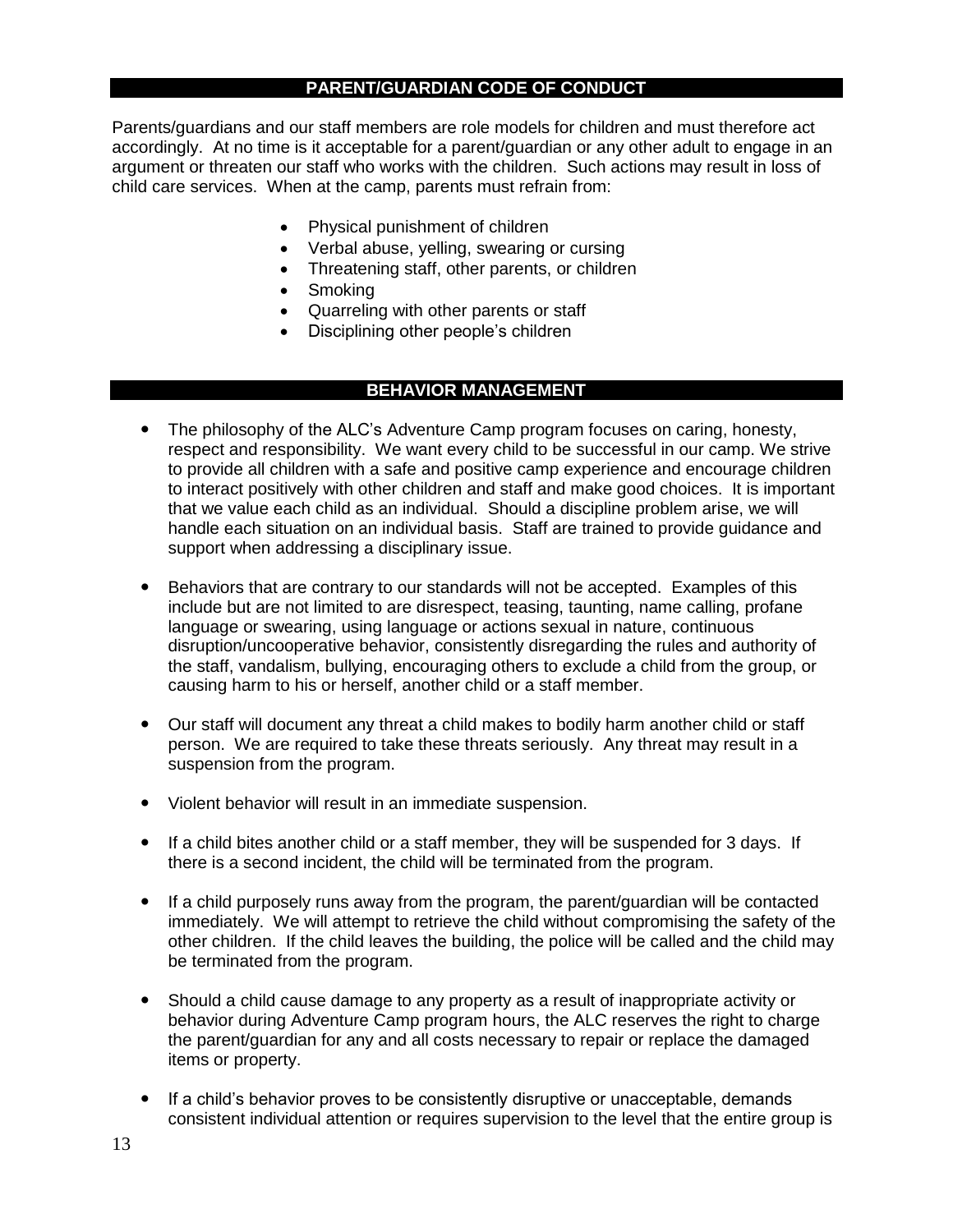# **PARENT/GUARDIAN CODE OF CONDUCT**

Parents/guardians and our staff members are role models for children and must therefore act accordingly. At no time is it acceptable for a parent/guardian or any other adult to engage in an argument or threaten our staff who works with the children. Such actions may result in loss of child care services. When at the camp, parents must refrain from:

- Physical punishment of children
- Verbal abuse, yelling, swearing or cursing
- Threatening staff, other parents, or children
- Smoking
- Quarreling with other parents or staff
- Disciplining other people's children

# **BEHAVIOR MANAGEMENT**

- The philosophy of the ALC's Adventure Camp program focuses on caring, honesty, respect and responsibility. We want every child to be successful in our camp. We strive to provide all children with a safe and positive camp experience and encourage children to interact positively with other children and staff and make good choices. It is important that we value each child as an individual. Should a discipline problem arise, we will handle each situation on an individual basis. Staff are trained to provide guidance and support when addressing a disciplinary issue.
- Behaviors that are contrary to our standards will not be accepted. Examples of this include but are not limited to are disrespect, teasing, taunting, name calling, profane language or swearing, using language or actions sexual in nature, continuous disruption/uncooperative behavior, consistently disregarding the rules and authority of the staff, vandalism, bullying, encouraging others to exclude a child from the group, or causing harm to his or herself, another child or a staff member.
- Our staff will document any threat a child makes to bodily harm another child or staff person. We are required to take these threats seriously. Any threat may result in a suspension from the program.
- Violent behavior will result in an immediate suspension.
- If a child bites another child or a staff member, they will be suspended for 3 days. If there is a second incident, the child will be terminated from the program.
- If a child purposely runs away from the program, the parent/guardian will be contacted immediately. We will attempt to retrieve the child without compromising the safety of the other children. If the child leaves the building, the police will be called and the child may be terminated from the program.
- Should a child cause damage to any property as a result of inappropriate activity or behavior during Adventure Camp program hours, the ALC reserves the right to charge the parent/guardian for any and all costs necessary to repair or replace the damaged items or property.
- If a child's behavior proves to be consistently disruptive or unacceptable, demands consistent individual attention or requires supervision to the level that the entire group is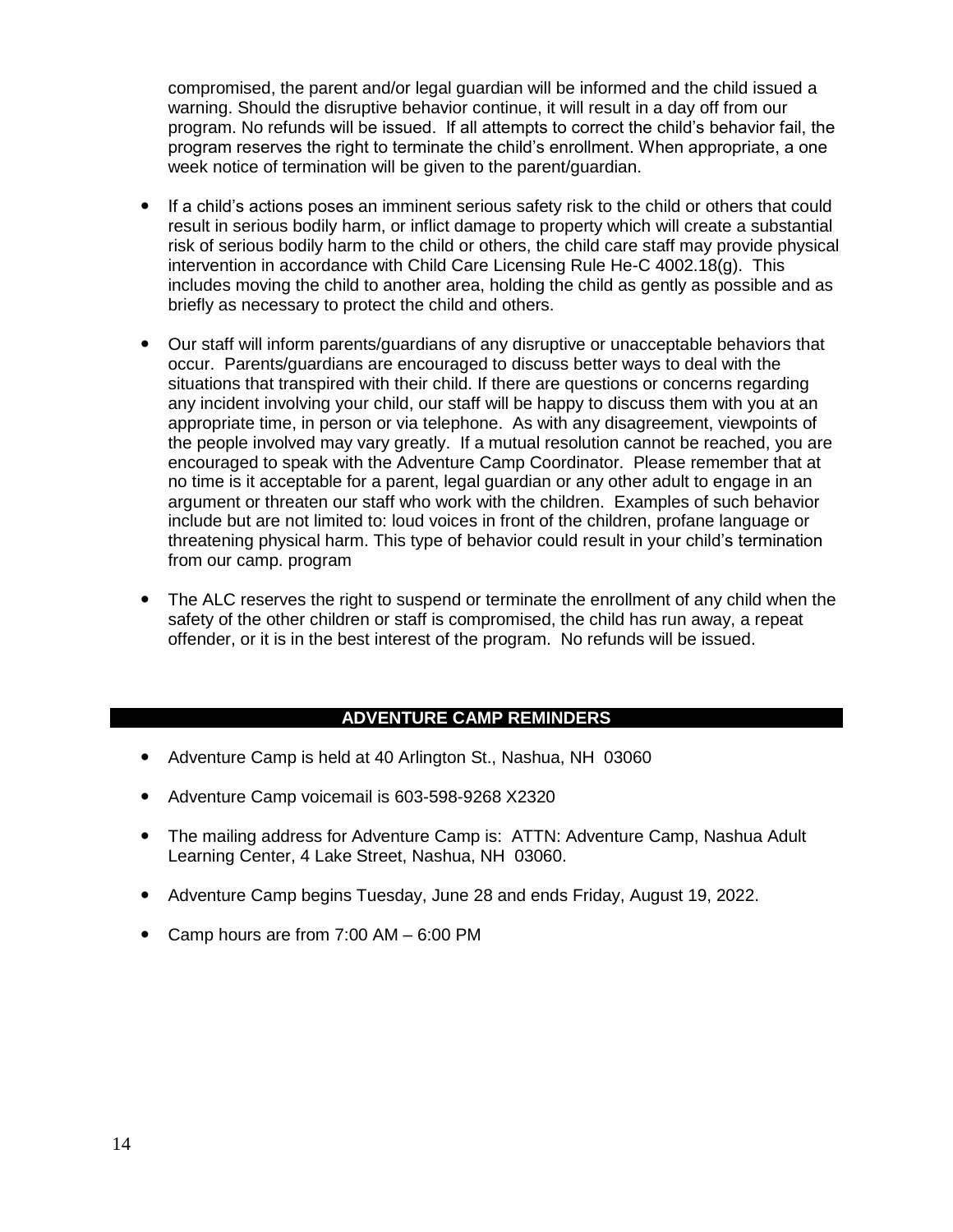compromised, the parent and/or legal guardian will be informed and the child issued a warning. Should the disruptive behavior continue, it will result in a day off from our program. No refunds will be issued. If all attempts to correct the child's behavior fail, the program reserves the right to terminate the child's enrollment. When appropriate, a one week notice of termination will be given to the parent/guardian.

- If a child's actions poses an imminent serious safety risk to the child or others that could result in serious bodily harm, or inflict damage to property which will create a substantial risk of serious bodily harm to the child or others, the child care staff may provide physical intervention in accordance with Child Care Licensing Rule He-C 4002.18(g). This includes moving the child to another area, holding the child as gently as possible and as briefly as necessary to protect the child and others.
- Our staff will inform parents/guardians of any disruptive or unacceptable behaviors that occur. Parents/guardians are encouraged to discuss better ways to deal with the situations that transpired with their child. If there are questions or concerns regarding any incident involving your child, our staff will be happy to discuss them with you at an appropriate time, in person or via telephone. As with any disagreement, viewpoints of the people involved may vary greatly. If a mutual resolution cannot be reached, you are encouraged to speak with the Adventure Camp Coordinator. Please remember that at no time is it acceptable for a parent, legal guardian or any other adult to engage in an argument or threaten our staff who work with the children. Examples of such behavior include but are not limited to: loud voices in front of the children, profane language or threatening physical harm. This type of behavior could result in your child's termination from our camp. program
- The ALC reserves the right to suspend or terminate the enrollment of any child when the safety of the other children or staff is compromised, the child has run away, a repeat offender, or it is in the best interest of the program. No refunds will be issued.

#### **ADVENTURE CAMP REMINDERS**

- Adventure Camp is held at 40 Arlington St., Nashua, NH 03060
- Adventure Camp voicemail is 603-598-9268 X2320
- The mailing address for Adventure Camp is: ATTN: Adventure Camp, Nashua Adult Learning Center, 4 Lake Street, Nashua, NH 03060.
- Adventure Camp begins Tuesday, June 28 and ends Friday, August 19, 2022.
- Camp hours are from 7:00 AM 6:00 PM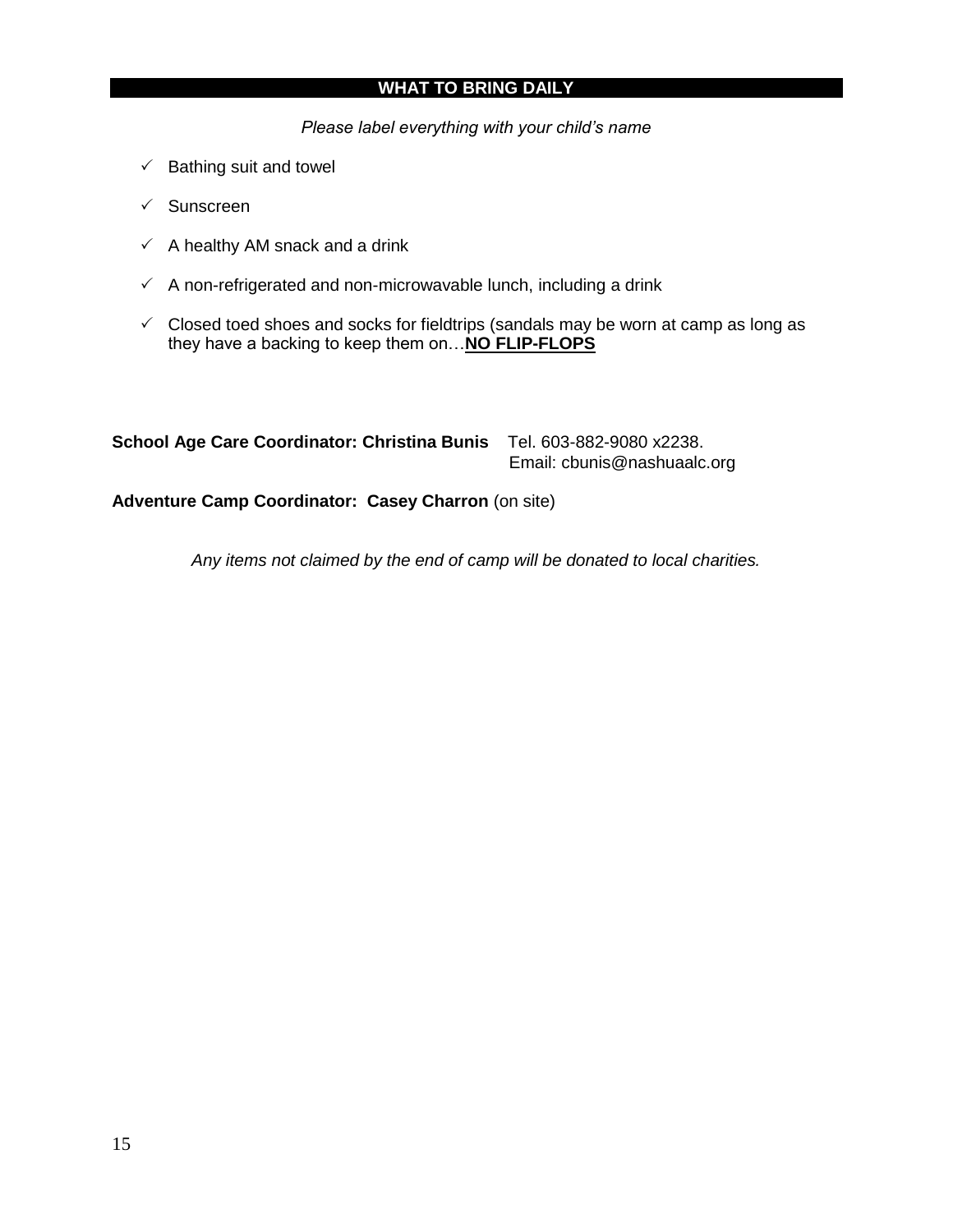# **WHAT TO BRING DAILY**

*Please label everything with your child's name*

- $\checkmark$  Bathing suit and towel
- $\checkmark$  Sunscreen
- $\checkmark$  A healthy AM snack and a drink
- $\checkmark$  A non-refrigerated and non-microwavable lunch, including a drink
- $\checkmark$  Closed toed shoes and socks for fieldtrips (sandals may be worn at camp as long as they have a backing to keep them on…**NO FLIP-FLOPS**

| <b>School Age Care Coordinator: Christina Bunis</b> | Tel. 603-882-9080 x2238.    |
|-----------------------------------------------------|-----------------------------|
|                                                     | Email: cbunis@nashuaalc.org |

**Adventure Camp Coordinator: Casey Charron** (on site)

*Any items not claimed by the end of camp will be donated to local charities.*